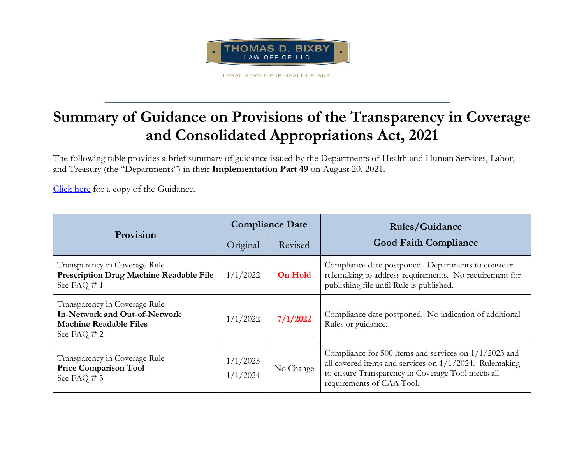

LEGAL ADVICE FOR HEALTH PLANS

## **Summary of Guidance on Provisions of the Transparency in Coverage and Consolidated Appropriations Act, 2021**

The following table provides a brief summary of guidance issued by the Departments of Health and Human Services, Labor, and Treasury (the "Departments") in their **Implementation Part 49** on August 20, 2021.

[Click here](https://www.cms.gov/CCIIO/Resources/Fact-Sheets-and-FAQs/Downloads/FAQs-Part-49.pdf) for a copy of the Guidance.

| Provision                                                                                                        | <b>Compliance Date</b> |                | <b>Rules/Guidance</b>                                                                                                                                                                                  |
|------------------------------------------------------------------------------------------------------------------|------------------------|----------------|--------------------------------------------------------------------------------------------------------------------------------------------------------------------------------------------------------|
|                                                                                                                  | Original               | Revised        | <b>Good Faith Compliance</b>                                                                                                                                                                           |
| Transparency in Coverage Rule<br><b>Prescription Drug Machine Readable File</b><br>See FAQ $# 1$                 | 1/1/2022               | <b>On Hold</b> | Compliance date postponed. Departments to consider<br>rulemaking to address requirements. No requirement for<br>publishing file until Rule is published.                                               |
| Transparency in Coverage Rule<br>In-Network and Out-of-Network<br><b>Machine Readable Files</b><br>See FAQ $# 2$ | 1/1/2022               | 7/1/2022       | Compliance date postponed. No indication of additional<br>Rules or guidance.                                                                                                                           |
| Transparency in Coverage Rule<br><b>Price Comparison Tool</b><br>See FAQ # 3                                     | 1/1/2023<br>1/1/2024   | No Change      | Compliance for 500 items and services on $1/1/2023$ and<br>all covered items and services on $1/1/2024$ . Rulemaking<br>to ensure Transparency in Coverage Tool meets all<br>requirements of CAA Tool. |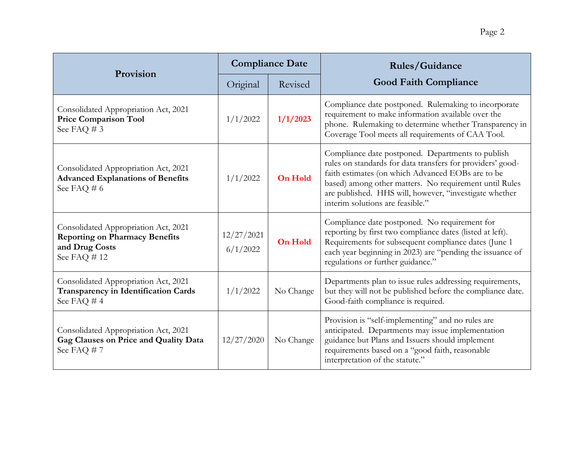| Provision                                                                                                      | <b>Compliance Date</b> |                | <b>Rules/Guidance</b>                                                                                                                                                                                                                                                                                                        |
|----------------------------------------------------------------------------------------------------------------|------------------------|----------------|------------------------------------------------------------------------------------------------------------------------------------------------------------------------------------------------------------------------------------------------------------------------------------------------------------------------------|
|                                                                                                                | Original               | Revised        | <b>Good Faith Compliance</b>                                                                                                                                                                                                                                                                                                 |
| Consolidated Appropriation Act, 2021<br><b>Price Comparison Tool</b><br>See FAQ # 3                            | 1/1/2022               | 1/1/2023       | Compliance date postponed. Rulemaking to incorporate<br>requirement to make information available over the<br>phone. Rulemaking to determine whether Transparency in<br>Coverage Tool meets all requirements of CAA Tool.                                                                                                    |
| Consolidated Appropriation Act, 2021<br><b>Advanced Explanations of Benefits</b><br>See FAQ # 6                | 1/1/2022               | <b>On Hold</b> | Compliance date postponed. Departments to publish<br>rules on standards for data transfers for providers' good-<br>faith estimates (on which Advanced EOBs are to be<br>based) among other matters. No requirement until Rules<br>are published. HHS will, however, "investigate whether<br>interim solutions are feasible." |
| Consolidated Appropriation Act, 2021<br><b>Reporting on Pharmacy Benefits</b><br>and Drug Costs<br>See FAQ #12 | 12/27/2021<br>6/1/2022 | <b>On Hold</b> | Compliance date postponed. No requirement for<br>reporting by first two compliance dates (listed at left).<br>Requirements for subsequent compliance dates (June 1<br>each year beginning in 2023) are "pending the issuance of<br>regulations or further guidance."                                                         |
| Consolidated Appropriation Act, 2021<br><b>Transparency in Identification Cards</b><br>See FAQ #4              | 1/1/2022               | No Change      | Departments plan to issue rules addressing requirements,<br>but they will not be published before the compliance date.<br>Good-faith compliance is required.                                                                                                                                                                 |
| Consolidated Appropriation Act, 2021<br>Gag Clauses on Price and Quality Data<br>See FAQ #7                    | 12/27/2020             | No Change      | Provision is "self-implementing" and no rules are<br>anticipated. Departments may issue implementation<br>guidance but Plans and Issuers should implement<br>requirements based on a "good faith, reasonable<br>interpretation of the statute."                                                                              |